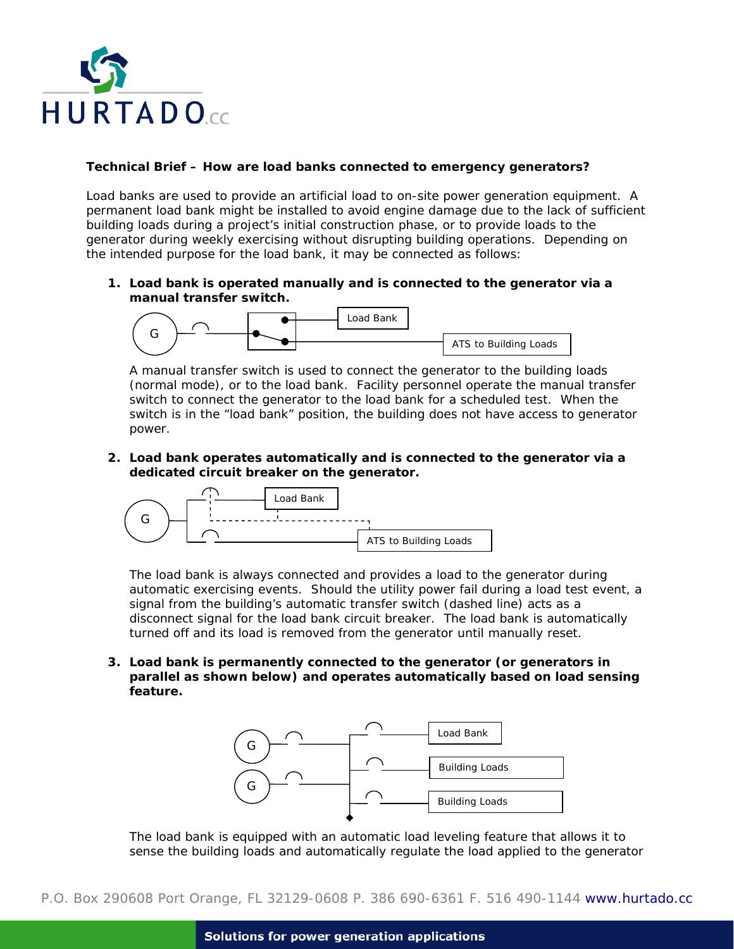

## **Technical Brief – How are load banks connected to emergency generators?**

Load banks are used to provide an artificial load to on-site power generation equipment. A permanent load bank might be installed to avoid engine damage due to the lack of sufficient building loads during a project's initial construction phase, or to provide loads to the generator during weekly exercising without disrupting building operations. Depending on the intended purpose for the load bank, it may be connected as follows:

**1. Load bank is operated manually and is connected to the generator via a manual transfer switch.** 



A manual transfer switch is used to connect the generator to the building loads (normal mode), or to the load bank. Facility personnel operate the manual transfer switch to connect the generator to the load bank for a scheduled test. When the switch is in the "load bank" position, the building does not have access to generator power.

**2. Load bank operates automatically and is connected to the generator via a dedicated circuit breaker on the generator.** 



The load bank is always connected and provides a load to the generator during automatic exercising events. Should the utility power fail during a load test event, a signal from the building's automatic transfer switch (dashed line) acts as a disconnect signal for the load bank circuit breaker. The load bank is automatically turned off and its load is removed from the generator until manually reset.

**3. Load bank is permanently connected to the generator (or generators in parallel as shown below) and operates automatically based on load sensing feature.** 



The load bank is equipped with an automatic load leveling feature that allows it to sense the building loads and automatically regulate the load applied to the generator

P.O. Box 290608 Port Orange, FL 32129-0608 P. 386 690-6361 F. 516 490-1144 www.hurtado.cc